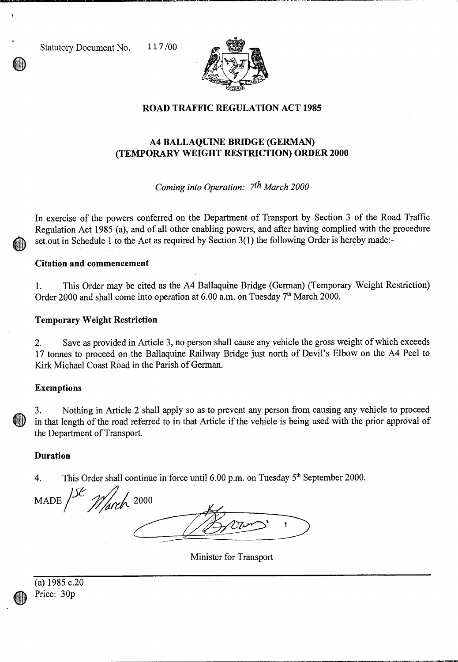Statutory Document No. 117/00



## **ROAD TRAFFIC REGULATION ACT 1985**

# **A4 BALLAQUINE BRIDGE (GERMAN) (TEMPORARY WEIGHT RESTRICTION) ORDER 2000**

*Coming into Operation: 7th March 2000* 

In exercise of the powers conferred on the Department of Transport by Section 3 of the Road Traffic Regulation Act 1985 (a), and of all other enabling powers, and after having complied with the procedure set.out in Schedule 1 to the Act as required by Section 3(1) the following Order is hereby made:-

### **Citation and commencement**

1. This Order may be cited as the A4 Ballaquine Bridge (German) (Temporary Weight Restriction) Order 2000 and shall come into operation at  $6.00$  a.m. on Tuesday  $7<sup>th</sup>$  March 2000.

#### **Temporary Weight Restriction**

2. Save as provided in Article 3, no person shall cause any vehicle the gross weight of which exceeds 17 tonnes to proceed on the Ballaquine Railway Bridge just north of Devil's Elbow on the A4 Peel to Kirk Michael Coast Road in the Parish of German.

#### **Exemptions**

3. Nothing in Article 2 shall apply so as to prevent any person from causing any vehicle to proceed in that length of the road referred to in that Article if the vehicle is being used with the prior approval of the Department of Transport.

#### **Duration**

4. This Order shall continue in force until  $6.00$  p.m. on Tuesday  $5<sup>th</sup>$  September 2000.

MADE  $156$  March 2000

Minister for Transport

|   | (a) $1985$ c.20 |  |
|---|-----------------|--|
| O | Price: 30p      |  |